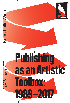Publishing Museumsquartier #Toolbox17<br>8/11 2017–28/1 2018 as an Artistic Toolbox: 1989-2017 4 1

**Kunsthalle Wien** Kunsthalle Wien

 $\mathcal{E}$ 



 $\zeta$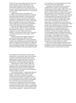What is the role of art publishing today? How have artists adapted modes of publishing as a tool for their specific practice? How has the notion of the artists' publishing activity changed, given the ever-increasing amount of fairs and an evolving number of book-related collections in contemporary art museums?

Publishing has become, especially since the 1960s, a favourite site and medium for aesthetic and artistic experimentation. It has also become an alternative space for promoting unrestricted individual or collective discourse. New modes and approaches to publishing in an artistic context have been renegotiated in recent times. Publishing is a force of agency to be reckoned with, questioned, explored and debated in all its manifestations.

The multi-part exhibition project *Publishing as an Artistic Toolbox: 1989–2017* aims at exploring the potentials of publishing – in the form of books, magazines, journals, artistic interventions, websites – as a particular medium and context both to circulate information and knowledge – and to produce art.

Instead of looking at the already historicized and analyzed period of the 1960s and 1970s, the exhibition will highlight how a recent generation of artists uses publishing as a productive tool for their practice. The focus lies on the period from 1989 until 2017, taking 1989 as symbolic date to underline the shift from analogue to digital. On a political level, 1989 with the fall of the Berlin wall marks a significant date.

of the digital and the introduction of new modes of production and circulation. Most of the materials included in the exhibition present how print and digital projects employ experimental formats and blur distinctions between art press, curatorial experiments, and other publishing enterprises.

*Publishing as an Artistic Toolbox: 1989–2017* is more focused on showcasing examples of art publishing which can offer insights into the ways artists think and into the infinite possibilities for experimentation on the formal, social and political levels this medium can offer.

The exhibition display – a collaboration between design studio Dallas and the collective trio Rio Grande – results from the desire to translate an experience into space: the concept of "home", in this case metonymically recalled by roofs, refers to an individual and common ritual, one of reading. The roof tile becomes a foundational element, acting both in its traditional form and as a support for the content. Allowing the creation of a modular, potentially replicable, infinite structure, and building a functional – enhanced by a custom typeface used in the exhibition graphics – yet playful environment.

On a social level, it is an important year that marks the invention of the World Wide Web.

The project, like a toolbox itself, is composed of different parts, sections, and components. *Publishing as an Artistic Toolbox: 1989–2017* opens up and unfolds through different propositions, partly by material exhibits on display, partly through the presentation of time-based events, as well as through an offsite project. The white cube is perhaps not the ideal space for experiencing books, which, in contrast to the collective reception of film and music, remains largely an individual affair. Rather than transform the white cube into a library or reading room, the exhibition acts as an index and invites visitors to experience the materials presented outside of the institutional space. It intends to function rather like a three dimensional bibliography as opposed to an encyclopaedic approach to understanding the multitude methodologies of publishing. Therefore, the exhibition space itself is an archipelago divided into different areas each one devoted to a specific topic related to our interest in the subject. The exhibition aims to provide an accessibility, which differs from a superficial experience of flipping through books by offering the audience a contextualization through captions, descriptions and texts written by the artists.

The notion of artists' publishing activities have changed over the past decades, in particular with the expansion of the art market and the globalization of artistic practices, combined with the advent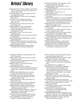# Artists' Library

KWAME ANTHONY APPIAH, HENRY LOUIS GATES JR., *The Dictionary of Global Culture*, New York: Alfred A. Knopf, 1996

CORY ARCANGEL, *The Source Digest*, New York: Arcangel Surfware, 2017

TAUBA AUERBACH, *Z Helix*, New York: Diagonal Press, 2014

JULIE AULT, *In Part. Writings by Julie Ault*, **New York: Dancing Foxes Press, Galerie** Buchholz, 2017

JULIE AULT, *(FC) Two Cabins by JB*, New York: A.R.T. Press, 2011

DARREN BADER, *77 and/or 58 and/with 19*, New York: Primary Information, 2015

J. G. BALLARD, *Millennium People*, London: Flamingo Books, 2003

MARTIN BECK, *June 14–19, 1970*, London: Gasworks, 2008

THOMAS BERNHARD, *The Loser*, New York: Alfred A. Knopf, 1991

ASHLEY BICKERTON*, Ashley Bickerton*, London: Other Criteria, 2011

HARTMUT BÖHME, *Fetischismus und Kultur. Eine andere Theorie der Moderne*, Hamburg: Rowohlt Taschenbuchverlag, 2006

PIERRE BOURDIEU, *Manet. Eine symbolische Revolution*, Berlin: Suhrkamp Verlag, 2015

ALEJANDRO CESARCO, *Dedications*, New York: A.R.T. Press, 2003

LARRY CLARK, *Punk Picasso*, New York/London: AKA Editions, 2003

CLAUDE CLOSKY, *Marque-page [Bookmark]*, Paris: Beaux-Arts éditions, 2015

KEREN CYTTER, *A–Z Life Coaching*, Berlin: Sternberg Press, 2016

MICHAEL DEAN, *Symmetry of Intimacy*, *An Introduction to the Principles of Symmetrical Intimacy Vol. I*, Freiburg: Kunstverein Freiburg, 2011

GEORGES DIDI-HUBERMAN, *Survivance des lucioles*, Paris: Editions de Minuit, 2009

DIRK DOBKE, *Dieter Roth: Books and Multiples*, Düsseldorf: Edition Hansjörg Mayer/London: Thames & Hudson, 2004

JASON DODGE, PAUL THEK, *Water Paper Cut*, Berlin: Motto, 2017

NATHALIE DU PASQUIER, *From Some Paintings 2000–2010*, Rome: Nero Publishing, 2017

JIMMIE DURHAM, *A Certain Lack of Coherence: Writings on Art and Cultural Politics*, London: Third Text Publications, 1993

OSWALD EGGER, *Diskrete Stetigkeit – Poesie und Mathematik*, Frankfurt am Main: Suhrkamp Verlag (Edition Unseld), 2008

*E-FLUX Journal*, print on demand issues, e.g. #17, *In Search of the Postcapitalist Self*, June 2010

NICOLE EISENMAN, *Consciousness Razing*, *Flypaper 4*, Cologne: Flypaper, 2008

NICOLAS BOURRIAUD, *Traffic*, Bordeaux: CAPC Musée d´art contemporain, 1996

ELEANOR BROWN, *The Newspaper*, London: Art After Parties, 2007

MARIE DE BRUGEROLLE, *Guy de Cointet*, Zurich: JRP|Ringier, 2011

CHRIS BURDEN, *Chris Burden: 74–77*, self-published, 1978

JOHN CAGE, *Notations*, New York: Something Else Press, 1969

JOHN CAGE*, Rolywholyover - A Circus*, Los Angeles: Museum of Contemporary Art/Houston: Menil Collection/New York: Guggenheim Museum/New York: Rizzoli International Publications, 1993

ROGER CAILLOIS, *La Lecture des Pierres*, Paris: Éditions Xavier Barral, 2014

ROBERTO CALASSO, *The Ruin of Kasch*, New York: Vintage, 1994

ITALO CALVINO, *If on a Winter's Night a Traveller*, London: Vintage Classics, 1996

DALE CARNEGIE, *How to Stop Worrying and Start Living*, New York: Pocket Books, 1990

CYNTHIA CARR,*Fire in the Belly: The Life and Times of David Wojnarowicz*, New York: Bloomsbury, 2012

FRANCO CASSANO, *Il pensiero meridiano*, Rome: Editori Laterza, 1996

MARIANA CASTILLO DEBALL, *Ixiptla Volume I*, Berlin: *Bom Dia Boa Tarde Boa Noite*, 2014

MAURIZIO CATTELAN, MASSIMILIANO GIONI,

ALI SUBOTNICK, *Charley 05*, Athens: Deste Foundation for Contemporary Art, 2007

RALPH ELLISON, *Three Days before the Shooting …*, New York: Random House, 2010

HANS PETER FELDMANN, *Die Toten 1967–1993*, Düsseldorf: Feldmann Verlag, 1998

*Feux Pâles: une pièce à conviction*, Bordeaux: CAPC musée d'art contemporain de Bordeaux, 1990

G. K. FORTESCUE, R. F. SHARP, R. A.

STREATFIELD, W. A. MARSDEN, *Catalogue of the Pamphlets, Books, Newspapers, and Manuscripts Relating to the Civil War, the Commonwealth, and Restoration, Collected by George Thomason, 1640–1661*, 2 vols. London: British Museum, 1908

PETER FRIEDL, *Peter Friedl. Work 1964–2006*, Barcelona: Actar/Museu d'Art Contemporani de Barcelona, 2007

LEE FRIEDLANDER, *Letters from the People*, New York: D.A.P./Distributed Art Publishers, 1993

FRIEZE ART FAIR, *Yearbook 2004–5*, London: Frieze Art Fair, 2004

RYAN GANDER, *Fieldwork, The Complete Reader*, London: Bedford Press, 2016

DORA GARCÍA, *The Prophets*, Santiago de Compostela: CGAC Galician Centre of Contemporary Art, 2006

ISA GENZKEN, BEATRIX RUF, *Isa Genzken. I Love New York, Crazy City*, Zurich: JRP|Ringier, 2006 LIAM GILLICK,*All Books*, London: Book Works, 2009

KENNETH GOLDSMITH, *Soliloquy*, New York: Editions Bravin Post Lee, 1997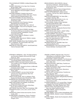FELIX GONZALEZ-TORRES, *Untitled (Passport #II)*, 1993

RODNEY GRAHAM, *Dr. No*, New York: Christine Burgin Gallery, 1991

ANTONIO GRAMSCI, *Quaderni del carcere*, Vol. 4, Rome: Biblioteca Treccani/Cagliari: L'Unione Sarda, 2009

ANTONIO GRAMSCI, *Quaderni del carcere. Quaderni di traduzioni (1929–1932)*, Vol. 1, Rome: Istituto della Enciclopedia Italiana, 2007

NICOLÁS GUAGNINI, *The Seven Reviews of Monkeys and Shit*, New York: Union Guacha Productions, 2004

KARL HOLMQVIST, *Word Squares*, Geneva: Motto Books & Compagnia, 2017

JENNY HOLZER, *Truisms*, New York, 1978–87

TAKASHI HOMMA, *Tokyo and my Daughter*, Zurich: Nieves, 2006

MYLES HORTON, PAULO FREIRE, *We Make the Road by Walking: Conversations on Education and Social Change*, Philadelphia: Temple University Press, 1990

MICHEL HOUELLEBECQ, *Whatever*, London: Serpent's Tail, 1998

JULIAN IRLINGER, *Byproducts / Matters*, Leipzig: Spector Books, 2016

EMILY JACIR,*Translatio*, Rome: Nero Publishing, 2016

B. S. JOHNSON, *The Unfortunates*, New York: New Directions, 2008

MIKE KELLEY,PAUL MCCARTHY*, Sod & Sodie Sock*, Vienna: Secession 1998

STEPHEN A. MARSHALL, *Flies: The Natural History and Diversity of Diptera*, Richmond Hill: Firefly Press Ltd., 2012

HARRY MATHEWS, GEORGES PEREC, *Roussel und Venedig*, Berlin: Edition Plasma, 1991

ROGER E. MILES, *Symmetric Bends: How to Join Two Lengths of Cord*, Singapore: World Scientific Publishing, 1995

ALEKSANDRA MIR, *'Venezia' by Venice: La Biennale di Venezia*, Venice, 2009

JONATHAN MONK, *Cover Version*, London: Book Works, 2004

R. A. MONTGOMERY, *Journey Under the Sea (Choose Your Own Adventure)*, New York: Bantam Books, 1977

JEAN-LUC MYLAYNE, *Jean-Luc Mylayne*, Paris: Musee d'Art Moderne de la Ville de Paris, 1995

- EILEEN MYLES, *Not Me (Native Agents)*, Los Angeles: Semiotext(e) / Native Agents, 1991
- MARC NAGTZAAM, *Not Available*, Amsterdam: Roma Publications, 2014

OLAF NICOLAI, *Il Diario del Vento / Wind Diary*, Rome: Nero Publishing, 2016

JEFF NOON, *Pixel Juice*, New York: Doubleday, 1998

SOPHIE NYS, *Buch, Livre, Libro*, Zurich: Archiv, 2015

SOPHIE NYS, *Sitzen ist das neue rauchen*, Zurich: Grotto, 2015

ELAINE PAGELS, *Revelations: Visions, Prophecy, and Politics in the Book of Revelation*, London: Penguin, 2013

BRIAN KENNON, KIM GORDON, *Altered Secession Catalogue – Michael Krebber (Gordon/Kennon)*, Los Angeles: 2nd Cannons Publications, 2014 BEN KINMONT, *Open by Chance & Appointment*, Sebastopol: Antinomian Press, 2015 MARTIN KIPPENBERGER, *William Holden Company: The Hot Tour*, Berlin: Wewerka & Weiss, 1991 MARTIN KIPPENBERGER, *Ten Years After…*, Cologne: Taschen, 1991 REM KOOLHAAS, BRUCE MAU, *S, M, L, XL*, New York: Monacelli Press, 1997 YAYOI KUSAMA, *Hustlers Grotto*, Berkeley: Wandering Mind Books, 1998 *La Repubblica* (black and white) / *La Repubblica* (colored), July 15, 2007 FERNANDA LAGUNA, *Autoayuda*, Buenos Aires: Belleza y Felicidad, 1999 PIERRE LEGUILLON, *Oracles – Artists' Calling Cards*, Zurich: Patrick Frey, 2017 JOCHEN LEMPERT, *Phenotype*, Cologne: Verlag der Buchhandlung Walther König, 2013 CLARICE LISPECTOR, *The Complete Stories*, New York: New Directions, 2015 CLARICE LISPECTOR, *Água Viva*, New York: New Directions, 2012 ARI MARCOPOULOS, *ANYWAY*, New York: Dashwood Books, 2012

DAVID MARKSON, *This is Not a Novel and Other Novels*, Berkeley: Counterpoint, 2016

GRAZIELLA PARATI, *Migration Italy: The Art of Talking Back in a Destination Culture*, Toronto: University of Toronto Press, 2005

MARTIN PARR, GERRY BADGER, *The Photobook: A History Volume I, II and III*, London: Phaidon, 2004, 2006, 2014

MICHALIS PICHLER,*"WAR"diary*, Frankfurt am Main: Revolver, 2005

CESARE PIETROIUSTI, *Non-functional Thoughts*, Naples: Studio Morra, 1997

RICARDO PIGLIA, *El último lector*, Barcelona: Edition Anagrama, 2005

PETER PILLER, *Von Erde schöner*, Frankfurt am Main: Revolver, 2004

RICHARD PRINCE,*American English*, London: Sadie Coles HQ/Cologne: Verlag der Buchhandlung Walther König, 2003

ROB PRUITT, *Rob Pruitt's eBay Flea Market: Year 1*, Venice: Bruno, 2015

FLORIAN PUMHÖSL, *6 7 8*, mumok Wien, Cologne: Verlag der Buchhandlung Walther König, 2011

MAX RENKEL, *Pine Valley*, Materia, Rom, 2016

JASON R. RICH: *Self-Publishing For Dummies*, New York: Wiley Publishing, 2006

MICHAEL RIEDEL, *Artforum (verpackt), Self-published*, 1999

MICHAEL RIEDEL,*Fuchs*, London: Koenig Books, 2017 MICHAEL RIEDEL, *Meckert*, London: Koenig Books, 2009

MICHAEL RIEDEL, *Muster des Kunstsystems*, Berlin: Distanz, 2017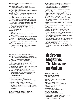MICHAEL RIEDEL, *Perlstein*, London: Koenig Books, 2011

MICHAEL RIEDEL, DENNIS LOESCH, *Quasi Portikus (False Frieze Art Fair Yearbook)*, Berlin: Revolver, 2004

WILLEM DE ROOIJ, *Intolerance*, Düsseldorf: Verlag Feymedia, 2010

MARGIT ROWELL, *The Russian Avant Garde Book 1910–1934*, New York: Museum of Modern Art, 2002

ALLEN RUPPERSBERG, *A Different Kind of Never-Never-Land*, Amsterdam: De Appel, 1992

GUY SCHRAENEN, *Ulises Carrion. We have won! Haven't we?,* Amsterdam: Museum Fodor, 1992

YANN SÉRANDOUR, *Inside The White Cube. Overprinted Edition*, Zurich: JRP|Ringier/ Christoph Keller Editions Series, 2009

MARY SHELLEY, *Frankenstein*, New York: Dover Publications, 1994

ED SIMON, *The Necronomicon*, New York: Avon, 1980

JOSH SMITH, *The Signing*, New York: Printed Matter, 2008

- SOL LEWITT, *Sol LeWitt Books 1966–1990*, Cologne: Verlag der Buchhandlung Walther König, 1990
- DANIELA STÖPPEL, *Visuelle Zeichensysteme der Avantgarden 1910–1950*, Munich: Edition Metzel, 2014

TEMPORARY SERVICES, *Art Work. A National Conversation About Art, Labor, and Economics*, Chicago: Half Letter Press, 2009

DAN WALSH, *Textiline*, Self-published, 2008 GENNIFER S. WEISENFELD, *Mavo: Japanese Artists and the Avant-Garde, 1905–1931*, Berkeley: University of California Press, 2002 ROGER WILLEMS, MARK MANDERS,

 *Os livros fazem amigos – Books Make Friends*, Amsterdam: Roma Publications, 2006 DAVID WOJNAROWICZ,*Close to the Knives:* 

*AMemoir of Disintegration*, New York: Vintage, 1991 CHRISTOPHER WOOL, *East Broadway Breakdown*,

Berlin: Holzwarth Publications, 2003 HEIMO ZOBERNIG, *Books & Posters. Catalogue* 

 *raisonné 1980–2015*, ed. Diana Baldon, Moritz Küng, Cologne: Verlag der Buchhandlung Walther König, 2016

1989: *Collins Mini Gem English Dictionary*. Given away as part of washing powder promotion. (Included in box of washing powder) 1989–1997: The publication of countless Conservative Party white papers, which led to the closure of our communities libraries and the subsequent book famine of Newcastle Upon Tyne City Library.

FIVEHUNDRED PLACES, founded in 2012 HANUMAN BOOKS, founded in 1986 until 1994 THE SONG CAVE, founded in 2009

KLAUS THEWELEIT, *CA: Buch der Königstöchter. Von Göttermännern und Menschenfrauen. Mythenbildung vorhomerisch, amerikanisch*, Frankfurt am Main/Basel: Stroemfeld, 2013

*The Antinomian Press*, Sebastopol: Antinomian Press, 2016

*The New York Times Special Edition ("All the News We Hope to Print")*, Self-published, 2008 (distributed November 2008, dated July 4, 2009) THE UNIVERSITY OF CHICAGO PRESS

EDITORIAL STAFF, *The Chicago Manual of Style*,  *17th Edition*, Chicago: University Of Chicago Press, 2017

- R. DAVID THOMAS, *Dave's Way*, New York: Berkley, 1992
- BLAIR THURMAN*, Blair Thurman*, New York: Karma, 2015

JOËLLE TUERLINCKX*, Study Book (Drawing Papers 59*), New York: Drawing Center, 2007

MARTIN TUPPER, *Le mode story (Collection Yoon Ja & Paul Devautour)*, Lyon: Editions Centre d'Arts Plastiques de Saint-Fons, 1995

PAUL VALÉRY, *Monsieur Teste*, Frankfurt am Main: Suhrkamp Verlag, 2011

ROWAN WALKING WOLF, HARUN HIGHMOUNTAIN, *Edible, Medicinal and Utilitarian Plants. Volume 1: "Weed" & Common Plants*, Yggdrasil Distro, Anti-copyright, 2009

MICK WALL, *W.A.R.: The Unauthorized Biography of William Axl Rose*, New York: St. Martin's Griffin, 2009

# Artist-run **Magazines The Magazine** as Medium

*ACME*, #1,1992; #2, 1992 *ALBUM*, #3, 2009; #6, 2012 *A.N.Y.P.*, #1, 1989; #9, 1999 *AHALI*, #1, 2013 *ARTFAN*, #5, 1991 (copy 2017); #6, 1992 *AVE*, #1, 2017 *BLACK PAGES*, #63; #64, 2015 *CAHIER D'IMAGES*, Emotions, #6, 2006 *CHARLEY*, #1, 2001; #3, 2003 *CHICAGO*, #1, 2002 *CLUB DONNY*, #5, 2010 *CHTO DELAT?*, #6, 2004; #19, 2008 *CRIP MAGAZINE*, #2 2017 *DANK*, #3, 1991; #6, 1992 *LE DICTATEUR*, #1, 2006; #4, 2013 *DIS MAGAZINE*, http://dismagazine.com/archive *DOT DOT DOT*, #13, 2006; #14, 2007 *E IL TOPO*, #1, 1992; #12, 2012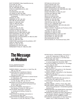*EAST OF BORNEO*, https://eastofborneo.org *ECOCORE*, #5, 2016 *EINE*, #2, 2009; #3, 2010 *FAT*, #2, 1995/1996; #3, 1997 *FFWD*, #5, 2008/2009; B.O.B., 2010 *FIG*, #31, 2017 *FILE MEGAZINE*, #29, 1989 *F.R. DAVID*, #1, 2007; #2, 2008 *FREE INTERNET*, #1, 2009; Omega Point (unreleased) *GRASSO*, #1, 2016 *HERESIES*, #1, 1977; #8, 1979 *HEYT BE!*, #5, 2013; #8, 2016 *INDEX*, #1, 1996; #26, 2000 *ITEM*, #1, 1995; #6, 2003 *IXIPTLA*, #1, 2014; #3, 2015 *K48*, #6, 2006 *K HOLE*, #1, 2011; #5, 2015 *LIVING & LOVING*, #2, 2004 *MAAYAN*, #1, 2005; #6, 2010/2011 *MADE IN USA*, #1, 1999–2000; #3, 2001 *MATT MAGAZINE*, #3, 2007; #4, 2008 *M/E/A/N/I/N/G*, #1, 1986; #17, 1995 *MEMORIA DE LA POSTGUERRA*, #1, 1993, #3, 2003 *NEID*, #7, 1998; #9, 2002 *OHIO*, #3, 1995; #12, 2004 *OHNE OHNE*, special issue for the exhibition, 2017 *OVER*, #1, 2000; #3, 2005 *PAGES*, #1, 2004; #9, 2013 *PAZMAKER*, #11, 2014; #12, 2016 *PERMANENT FOOD*, #7, 1999; #12, 2004

*PETUNIA*, #5, 2013; #6, 2014 *POINT D'IRONIE*, #60, 2017 *PROVENCE*, R, 2009; 0, 2010 *RANDY MAGAZINE*, #1, 2010; #4, 2013 *REAL LIFE MAGAZINE*, #19, 1988/1989; #20, 1990 *REGINA*, #2, 1997; #4, 2000 *ROSES TATOUÉES*, #1, 2002; #13, 2017 *SCHISM*, #18, 1989; #24, 1990 *SEX*, #1–#10, 2012–2015 *SKULPI*, #1, 2010; #3, 2015 *STARSHIP*, #2, 1999; #10, 2007 *SUBWAY*, #1, 2014; #9, 2016 *TELLUS*, #11, 1981; #20, 1988 *THE CRITICAL ASS*, #2, 2013; #5, 2015 THE O-G, #1-2, 2009 & #9, 2016 *THE THING QUARTERLY*, #24, 2014; #28, 2015 *TOILET PAPER*, #10, 2014 *TRIPLE CANOPY*, The Binder and The Server, 2012; The Amme Talks, 2017 *TROUBLE*, #3, 2003; #4, 2004 *USELESS*, # 1, 2005; # 5, 2007 *VENEER MAGAZINE*, #1, 2007; #2, 2007 *WHITEWALLS*, #1, 1978; #19, 1988 *ZEITSCHRIFT*, #1, 2002; #31, 2017 *ZING MAGAZINE*, #6, 1998 *299 792 458 M/S*, #1, The American Issue, 2016

### The Message as Medium

IN COLLABORATION WITH CHRISTOPH SCHIFFERLI

FAREED ARMALY, intervention in: *Cash Flow*, #6, 1991, pp. 164–165 THOMAS BAYRLE, ANDREAS ZYBACH, intervention in: *Süddeutsche Zeitung*, February 25, 2002, p. 5 ALIGHIERO BOETTI, intervention in several issues of: *Il Manifesto*, 1981 ALIGHIERO BOETTI, intervention in: *Interview*, vol. XXI, #5, May, 1991, pp. 122–123 MAURIZIO CATTELAN, special interventions made during the making of: *Permanent Food*, #1–#15, 1996–2007 CLEGG & GUTTMANN, intervention in: *Der Standard*, October 24, 1990, pp. 6–7 TACITA DEAN, *Washington Cathedral* in: *Süddeutsche Zeitung*, October 10, 2002, p. 10 HANS PETER FELDMANN, intervention in: *Kunst & Kirche*, May, 2006 HANS-PETER FELDMANN, *without words,* intervention in: *profil*, #6, February 7, 2000

 *profil*, #37, September 9, 1996, pp. 70–71 LIAM GILLICK, intervention in: *De Witte Raaf*, #179, #180, #181, 2016 GROUP MATERIAL, *AIDS Timeline* interventions in various magazines, December, 1990 NICOLAS GUAGNINI, intervention in: *The Village Voice*, May 28, 2002 JENS HAANING, intervention in: *Der Standard*, May 15, 1998, p. 3 SANJA IVEKOVIĆ, intervention in: *Der Standard*. *Rondo*, August 24, 2001, p. 12 THOMAS LOCHER, intervention in: *Der Standard*, March 29, 1991, pp. 6–7 ANNETTE MESSAGER, intervention in: *Libération*, July 6, 2004 CHRISTIAN PHILIPP MÜLLER, intervention in: *Cash Flow*, #12, 1990, pp. 60–61 OLAF NICOLAI, *Parking free*, in: *Nero*, #28, #31, 2012, 2013 MICHAEL RIEDEL, *CMYK* in: *Frieze*, May, 2007 MICHAEL RIEDEL, *Made in Germany 2 - CMYK 02* in: *Revue d'art contemporain - trimestrielle et gratuite*, Summer, 2010 JEROEN DE RIJKE, WILLEM DE ROOIJ, intervention in: *Der Standard*, March 15, 2000, pp. 8–9 DIETER ROTH,*A Lifetime of 61 Years*, intervention in: *Der Standard*. *Szenario*, August 4–10, 1995, p. 3 THE YES MAN, STEVE LAMBERT & ANDY BICHLBAUM, special edition of: *New York Times* (dated: July 4, 2009), November 12, 2008

PETER FISCHLI, DAVID WEISS, intervention in: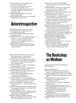PIOTR UKLANSKI, *Untitled (Ginger Ass)* in: *Artforum*, September, 2003

LUCA VITONE*, The floor plan 1:10 shows the space of an art gallery. Art is the place, the gallery measures its value*, 1991/1992, in: *Artforum*, and various art magazines, 1993

CHRISTOPHER WILLIAMS, intervention in: *Artforum*, April, 2006

HEIMO ZOBERNIG, intervention in: *Der Standard*, September 28, 1990, pp. 8–9

# Autoretrospective

ANONYMOUS, *manuscrit trouvé*, Paris, 1981 LAURA CARPENTER, *Insights*, New York:

Curt Marcus Gallery, 1989 LAURA CARPENTER, *Insights*, Paris: Galerie Claire Burrus, 1990

"MARC BLONDEAU: Vous vous dites amateurs de fictions... propos recueillis par Simone de Cosi", in: *Lieux Communs, figures singulières*, Paris: MAM/ARC Musée d'art moderne de la ville, 1991

DANIEL BOSSER, *Philippe Thomas décline son identité*, Paris: Galerie Claire Burrus, Editions Yellow Now, 1987

ESTELLE SCHWARZ, "Advertising, advertising: some cases in point", in: *Artscribe*, #71, September–October, 1988, pp. 70–74

*Sur un lieu commun: un entretien avec Georges Verney-Carron*, interviewed by Eric Duyckaerts, Saint-Étienne: Maison de la Culture et de la Communication, 1988

PHILIPPE THOMAS, "Le cinéma, quelle histoire !", in: *Libération*, May 18, 1995

PHILIPPE THOMAS, *spenserm philippe thomas*, Paris: Editions Katia Pissarro, 1978

PHILIPPE THOMAS, *sans titre philippe thomas*, Paris: Editions Artalect, 1979

PHILIPPE THOMAS, LIDEWIJ EDELKOORT, "Une lettre à Lidewij Edelkoort", in: *Conséquences*, #5, 1985, p. 53

PHILIPPE THOMAS, "pour la nausée philippe thomas sans titre", in: *Obliques*, #18–19, special issue on Jean-Paul Sartre, 1978, pp. 118–119

MICHEL TOURNEREAU, "Philippe Thomas: sujet à discrétion?", in: *Public*, #3, Winter, 1985, pp. 33–37

GEORGES VERNEY-CARRON, "Publicité, publicité: de quelques cas de figures", in: *ArtPress*, #129, October, 1988, pp. 37–41

GEORGES VERNEY-CARRON, "Reklame, reklame: nogle sporgsmal til fugurernes eksklusion", in: *Andsindustri*, #4, 1991, pp.16–24

GEORGES VERNEY-CARRON, "Werbung, Werbung: einige Beispiele zur Sache", in: *Meta1,*  Künstlerhaus Stuttgart, 1992, pp. 50–56

CARINE CAMPO, MICHEL GRANDSARD, in: *B'Art Code*, Brussels: L'Arsenal du Charroi, 1993, p. 18, p. 30 CHIAT/DAY/MOJO, "Advertising for readymades belong to everyone", in: *Flash Art*, #155, November–December, 1990, p. 22 SIMONE DE COSI, "Fictionnalisme", *Masques*, #1, November–December, 1985, p. 90 LIDEWIJ EDELKOORT, "Reclame, reclame: een paar voorbeelden", in: *Artefactum*, #26, November-December, 1988, pp. 24–29 *Feux pâles: une pièce à conviction*, Bordeaux: CAPC musée d'art contemporain de Bordeaux, 1990 *Fictionnalisme: une pièce à conviction*, Paris: Galerie Claire Burrus, 1985 *Frage der Präsentation*, Berlin: Museum für Kultur, 1982 "L'agence les ready-made appartiennent à tout le monde®", (folder) in: *Les Cahiers du Musée national d'art modern*, #36, Summer, 1991, pp. 87–100 les ready-made appartiennent à tout le monde®, "Publicité, publicité", in: *Libération*, August 11, 1988 readymades belong to everyone® / EVA FELTEN, INGVILD GOETZ, STEPHAN GOETZ, WERNER LIPPERT, AREND OETKER, ALEXANDRA TACKE, JOSEF ZANDER, *Le mobilier national*, 1993 CHRISTOPH SATTLER, *München, hin und zurück*, München: Kunstraum, 1992 ESTELLE SCHWARZ, "Publicidad, publicidad: en torno a ciertos modelos", in: *Kalias*, #6, Valencia: IVAM, October, 1991, pp. 48–55

# The Bookshop as Medium

CURATED BY GREGORIO MAGNANI AND MOTTO BOOKS

ÅBÄKE, *Cancelled*, 2017

AKASSEN, *Damaged by Water, Financed by Insurance*, Copenhagen: Space Poetry, 2008

ALBERT ALLGAIER, *gruppe uno wien: theinternational festival for nothing*, Vienna: Mark Pezinger Verlag, 2017

LARA ALMARCEGUI, *Huizen In Sint Laurens*, Middelburg: De Vleeshal Center for Contemporary Art, 2011

KAI ALTHOFF, *Ashley's*, Stuttgart: Künstlerhaus Stuttgart, 1996

JONATHAS DE ANDRADE, *Museu do Homem do Nordeste*, Milano: Mousse Publishing, 2013

KASPER ANDREASEN, *Copy Construct*, Amsterdam: Roma Publications, 2017 JOHN ARMLEDER, *Yellow Pages*, Zurich:

JRP|Ringier, 2004 MATHIEU ASSELIN, *Monsanto-A Photographic* 

*Investigation*, Dortmund: Verlag Kettler, 2017

FELICIA ATKINSON, *Audio Book*, Shelter Press, 2016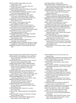MICHEL AUDER, *Empty Really*, New York: Ratstar Press, 2015 LUTZ BACHER, *Do You Love Me?*, New York: Primary information, 2012 GABRIEL BARBU, *Absence of Evidence*, Bucharest: Punch/self-published, 2017 MATTHEW BARNEY, BRANDON STOSUY, *ADAC*, New York: Dashwood Books, 2013 BERNADETTE CORPORATION, *Bernadette Corporation: 2000 Wasted Years*, Cologne: Verlag der Buchhandlung Walther König, 2014 SAMUEL BICH, *Die Kunsthalle als Material*, Self-published, 2017 *Black Panther. Coloring Book*, New York/ Los Angeles: Sun Editions, 2015 DANIEL BOSSER, *Philippe Thomas Declines His Identity*, London: Occasional Papers, 2015 CAROL BOVE,*Plants and Mammals*, New York: Horticultural Society of New York and Karma, 2009 SONIA BOYCE, *Peep*, London: Institute of International Visual Arts, 1999 ALEXANDER BRODSKY, ILYA UTKIN, Cancelled 6/21/90, L'esprit de l'escalier, 2017 PABLO BRONSTEIN, Set of self-published books, Self-published, 2008 MARCEL BROODTHAERS, *Département des Aigles*, Arnaud Desjardin WILL BROWN,*Bruce Conner Brass Handles: AProject by Will Brown*, Atlanta/New York: J&L Books, 2016

BRUMARIA, Impasse - work #8, Madrid: Brumaria, 2015

DANH VO,*Blau/orange*, Bielefeld: Kerber Verlag, 2007 MOYRA DAVEY, *Les Goddesses / Hemlock Forest*, Bergen: Bergen Kunsthall/New York: Dancing Foxes Press, 2017 MOYRA DAVEY, *Burn the Diaries*, Vienna: mumok/ New York: Dancing Foxes Press, 2014 CHRISTOPHE DAVIET-THERY, JÉRÔME SAINT-LOUBERT BIE (EDS.), *Bibliothèque d'un amateur. Richard Prince's Publications 1981–2014*, Foligno: Viaindustriae/Paris: Christophe Daviet-Thery, 2014 MICHAEL DEAN, *UO*, Geneva: Motto Books, 2014 ARNAUD DESJARDIN, *The Book on Books on Artists' Books*, London: The Everyday Press, 2013 PASCAL DOURY, *Patate*, Pantin: Cneai=, 2005 PETER DOWNSBROUGH, *From To: Peter Downsbrough Postcards*, Gent: S.M.A.K., 2016 MARIA EICHHORN, *Maria Eichhorn: Aktiengesellschaft*, Cologne: Verlag der Buchhandlung Walther König, 2007 VINCENT FECTEAU, *The Good, the Bad, and the Ugly*, Berlin: Sternberg Press/Graz: Grazer Kunstverein, 2015 PETRA FERIANCOVÁ, *Family, Vol.1*, London: Eros Press, 2016 CARLA FILIPE, *Imagens Sagradas*, Self-published, 2014 MARC FISCHER, *Hardcore Architecture*, Chicago: Public Collectors, 2015 PETER FISCHLI, DAVID WEISS, *Ringier Annual Report 2007*, Zurich: Ringier, 2007

RUTH BUCHANAN, JUDITH HOPF, MIKE SPERLINGER, CHRISTINA BARTON, *Bad Visual Systems: Ruth Buchanan, Judith Hopf, Marianne Wex*, Wellington: Adam Art Gallery, 2017 CAROLINE BUSTA, JOHN KELSEY, SUSANNE PFEFFER, *Loretta Fahrenholz: Seven Films*, Cologne: Verlag der Buchhandlung Walther König, 2016 MAURIZIO CATTELAN, *Biologia delle Passioni*, Villanova di Ravenna: Edizioni Essegi, 1989 MAURIZIO CATTELAN, DOMINIQUE GONZALEZ-FOERSTER, *Permanent Food #1, #2*, Association Des Temps Liberés, 1995/1996 MARC-CAMILLE CHAIMOWICZ, *A Folio for Secession*, Vienna: Secession, 2010 PHILIPPE CHEVALIER, *Kolan*, Self-published, 2010 ALEXANDER CHIZHEVSKY, ROBIN WATKINS (EDS.), *Physical Factors of the Historical Process*, Lisbon/Berlin: Atlas Projectos, 2017 CELINE CONDORELLI, GAVIN WADE, *Eastside Projects User's Manual*, Birmingham: Eastside Projects, 2012 MATT CONNORS (ED.), *Gay Areas Telephone Directory*, Gay International Inc. Facsimile edition/New York: Pre-Echo, 2017 MICHAEL CROWE, *A list of art which would be destroyed if Ed Ruscha's painting "Los Angeles County Museum on Fire" became reality today*, Self-published, 2011

- NATALIE CZECH, *To Icon Poems*, Berlin: Capitain Petzel, 2017
- RYAN FOERSTER, Set of 10 zines, New York: Ratstar Press RYAN FOERSTER, *Untitled 2016*, Self-published, 2016 KASIA FUDAKOWSKI, *Info-Fuction, The Second Swipe*, Berlin: ChertLüdde, 2017 DORA GARCÍA, *All the Stories*, London: Book Works, 2013 MARIO GARCÍA TORRES, *Christopher D'Arcangelo 84 West Broadway New York, NY 1007*, Rome: Nero, 2006 GENERAL IDEA, *The Aids Project*, Canada: The Gershon Iskowitz Foundation, 1989 ISA GENZKEN, *Der Spiegel 1989–1991*, Cologne: Verlag der Buchhandlung Walther König, 2003 JEF GEYS, *Kempens Informatieblad*, Brussles: Wiels & Jef Geys, 2013 DAN GRAHAM, *Hanne Darboven: One Century: Johann Wolfgang Von Goethe*, Gent: Imschoot, Uitgevers, 1994 OLIVER GRIFFIN, *Demonstrations of Patterns in Flow*, London: Loose Joints, 2017 WADE GUYTON, *One Month*, New York: Karma, 2014 WADE GUYTON, SETH PRICE, JOSH SMITH, KELLEY WALKER, *Guy - Price - Smith - Walker*, New York: 38th Street Publishers, 2006 PETRIT HALILAJ, *Poisoned by men in need of some love*, Geneva: Motto Books/Brussels: Wiels, 2014 CALLA HENKEL, MAX PITEGOFF, *Berlin, Zürich, Zürich, Berlin, Berlin, Berlin, Berlin, London*, Milan: Humboldt Books, 2016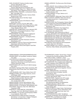KARL HOLMQVIST, *Skyline is the By-Linezz*, Geneva: Motto Books, 2014 KARL HOLMQVIST, *Word Squares*, Geneva: Motto Books & Compagnia, 2017 TAKASHI HOMMA, *Relax 75.5 – Takashi Homma – New Waves*, Tokyo: Magazine House Co, 2003 ADRIEN HORNI, LINUS BILL, *La Deuxieme Chance*, Biel: Turbo Mag, 2011 DAVID HORVITZ, *Mood Disorder*, Geneva: Motto Books & Chert, 2015 HAI HSIN HUANG, *Now Is The Past*, Taipei: nos:books, 2016 TAMAMI IINUMA, *House of Architecture*, Tokyo: limArt, Post, 2016 INVENTORY, *Inventory Journa*l, 1995–2005 ANA JOTTA, *s/he is her/e*, Porto: Braço De Ferro, 2008 KEN KAGAMI, *Milk Man*, Geneva: Motto Books/ Tokyo: Misako & Rosen, 2014 JEAN KELLER,*The Black Book*, Lulu on demand, 2013 MIKE KELLEY, *Photographs/Sculptures*, Tokyo: Wako Works of Art, 2009 BRIAN KENNON, *Altered Secession Catalogue*s *Michael Krebber*, Self-published, 2017 BRIAN KENNON, *Secession – Christopher Wool*, Self-published, 2017 BRIAN KENNON, *Tom Burr Secession*, Geneva: Motto Books, 2017 BEN KINMONT, *Open by Chance and Appointment*, Sebastopol: Antinomian Press, 2016 JAMES LANGDON, *Book*, Birmingham: East Side

Projects, 2010

- ADRIEN MISSIKA, STEPHANE BARBIER BOUVET,
- JEANNE GRAFF, *Let's go Basel*, Lausanne: Galerie 1m3, 2007
- JULIA MONTILLA, *Ezkiozaleak. A Photographic Account of the Followers of the Ezkioga Apparitions*, Barcelona: Consell Nacional de la Cultura i de les Arts, 2009
- KRISTEN MUELLER, *buch 3b de 10*, Berlin/Leipzig: & So, 2014
- CHI TSAI NI, *Topology in Bed*, Taipei: nos:books, 2015 BOB NICKAS, Set of Zines, New York: Ratstar Press, 2017
- YUKI OKUMURA, *GMC*, Tokyo: Edition Nord, 2017
- HENRIK OLESEN, *Some Faggy Gestures*, Zurich: JRP|Ringier, 2008
- PAULINA OLOWSKA, *Metamorphosis*, Christoph Keller/Frankfurt am Main: Revolver, 2005
- PHILIPPE PARRENO, *Fade to Black*, Paris: mfc-michèle didier, 2005
- SIMON POPPER, *Full Fat*, Self-published, 2017
- SIMON POPPER, *Ulysses*, Self-published, 2009
- SIMON POPPER, *3 Cook Books*, Self-published, 2010
- SETH PRICE, *Dispersion*, New York: 38th Street Publishers, 2008
- ROB PRUITT, TODD AMICON, JOSH SMITH, *Holy Crap*, New York: 38th Street Publishers, 2011
- MAX RENKEL, *Cy Twombly's Autobiography Hidden in my Collection*, Rome, 2016
- WILLEM DE ROOIJ, *Willem de Rooij. Fong Leng. Sportswear: Le Consortium*, Cologne: Verlag der Buchhandlung Walther König, 2016

ANNIKA LARSSON, *The Discourse of the Drinkers*, 2017

- LOUISE LAWLER, *Twice Untitled and Other Pictures (Looking Back)*, Cambridge/ Massachusetts: MIT Press, 2006
- ELIZABETH LEBON, *Test/Answer*, Berlin: backbonebooks, 2014
- JOCHEN LEMPERT, *4 Frogs*, Valence: art 3 co-edition, 2010
- JOCHEN LEMPERT, *White Light*, Tokyo: limArt, 2007 PABLO LEON DE LA BARRA, *Pablo international*, complete issues 0 to 4 + 3 special issues,
- Self-published SHERRIE LEVINE, *New Photography*, Geneva: Musée d'art moderne et contemporain (MAMCO), 1996
- LUCA LO PINTO, *A Metaphysical Interior*, Geneva: Boa Books, 2014
- ALESSANDRO LUDOVICO, *Post-Digital Print: The Mutation of Publishing Since 1894*, Eindhoven: Onomatopee, 2013
- LUCY MCKENZIE, *After Inspired by an Atlas of Leprosy*, Berlin/New York: Galerie Buchholz, 2016 SARA MACKILLOP, *Laptop2*, Self-published, 2016 SARA MACKILLOP, *Loyalty cards*, Self-published SARA MACKILLOP, *Paint Brushes*, Self-published MARK MANDERS, *Traducing Ruddle*, Amsterdam:
- Fillip and Roma Publications, 2010 NICK MAUSS, (hand made zine with transparent
- inserts), New York: 303 Gallery
- MICHAELA MEISE, *Auro, Aveda, Dr. Hauschka, Stockmar, Wala, Weleda*, self-published, 2008
- TEX RUBINOWITZ, *Gelatin: The B–Thing*, Cologne: Verlag der Buchhandlung Walther König, 2001
- *Sans niveau ni mètre Collection 10 ans*
- *du Journal du Cabinet du livre d'artiste 2007– 2017*, Saint-Senoux: Éditions Incertain Sens, 2017
- IZET SHESHIVARI, *The complete series of Boabooks artists' notepads*, Zurich: Edition Fink, 2015
- SETH SIEGELAUB, *Xerox Book*, Amsterdam: Roma Publications/Stedelijk Museum, 2015 GIOVANNA SILVA, *Walk Like an Egyptian*, Geneva:
	- Motto Books, 2017
- RACHEL SIMKOVER (ED.), *An Anthology of Concrete Poetry (in braille)*, Geneva: Motto Books, 2013
- FRANCES STARK, *Collected Writings 1993–2003*, London: Book Works, 2003
- FRANCES STARK, *Trapped in the VIP Lounge*, New York: Gavin Brown's Enterprise, 2014
- ERIK STEINBRECHER, *Uber alles*, Erik Steinbrecher/Berlin: Kunstbibliothek - Staatliche Museen zu Berlin, 2012
- ERIK STEINBRECHER, *Ständig kracht's*, St. Gallen: Vexer Verlag, 2017
- TOMASZ STOMPOR, Gregor Huber, *Fabrikzeitung. Die Cut-Up Ausgabe*, Zurich: Rote Fabrik, 2010
- DEREK SULLIVAN, *Persistent Huts*, New York: Printed Matter, 2008
- MEGAN FRANCES SULLIVAN, *The Bathers (Inverted)*, Amsterdam: Roma Publications, 2016
- JENNIFER TEE, *Local Myths/Love Spells*, Birmingham: Eastside Projects, 2010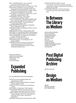MILLY THOMPSON (ED.), *Vuoto*, Coventry: Lanchester Gallery Projects, 2012 ERIK THYS, *Portraits*, Vilnius: CAC/Riga: kim?, 2016 WOLFGANG TILLMANS, *Concorde*, Cologne: Verlag der Buchhandlung Walther König, 1997 WOLFGANG TILLMANS, *Soldiers*, Cologne: Verlag der Buchhandlung Walther König, 1999 CLAUDIA DE LA TORRE & KYLE LINCOLN, *Look at Me*, Berlin: backbonebooks, 2013 ROSEMARIE TROCKEL, *Paare*, Düren: Leopold-Hoesch-Museum, 1998 JOELLE TUERLINCKX, WILLEM OOREBEEK, *Bild, oder*, Karlsruhe: Badischer Kunstverein, 2004 ERIK VAN DER WEIJDE, *This Is Not My Book*, Leipzig: Spector Books, 2017 ERIK VAN DER WEIJDE, *Siedlung*, Amsterdam: Roma Publications, 2008 ROB VAN LEIJSEN, *Art Handling in Oblivion*, Zurich: Edition Fink, 2014 ROBIN WAART, *Part One*, Self-published, 2001 FRITZ WELCH,*Small Blackened Books*, Self-published FRITZ WELCH, *Hijacked Jeff Koons*, Self-published NICOLE WERMERS, *Croissants and Architecture*, Geneva: Motto Books, 2016 PAE WHITE, *Untitled*, Self-published STEPHEN WILLATS, *Control Magazine*, UK: Stephen Willats STEPHEN WILLATS, *Artwork as Social Model: A Manual of Questions and Propositions*, Derby/Sheffield: Research Group for Artists Publications (RGAP), 2012

SARAH ORTMEYER SARAH PICHLKOSTNER FRANCIS RUYTER JULIE RYAN LUCA TREVISANI

# Expanded **Publishing**

#### IN COLLABORATION WITH FILIPA RAMOS

FIKTION, founded by Mathias Gatza and Ingo Niermann in 2013 LA BIBLIOTHÈQUE FANTASTIQUE, founded by Antoine Lefebre in 2009 PUBLIC FICTION, founded by Lauren Mackler in 2010 SETH PRICE, *A Small Voice*, 2016, audio file THE SERVING LIBRARY, founded in 2011 by Stuart Bailey, Angie Keefer and David Reinfurt TRIPLE CANOPY, founded in 2007 by Lucy Ives, Hannah Whitaker, Sam Frank, Sarah Resnick, Alexander Provan, Peter J. Russo and

Molly Kleima UBUWEB, founded by Kenneth Goldsmith in 1996 CHRISTOPHER WILLIAMS, *Program.* 

 *For Example: Dix-Huit Leçons Sur La Société Industrielle*, Cologne: Verlag der Buchhandlung Walther König, 2006

KATSUNOBU YAGUCHI, *The Deconstruction of my Suntopia*, Mito: Keiko Ogane Gallery, 2017

# In Between The Library as Medium

ANNA SOPHIE BERGER HUGO CANOILAS PLAMEN DEJANOFF HEINRICH DUNST JUDITH EISLER **GELITIN** FLORIAN GRAF DAVID JOURDAN CHRISTIAN KOSMAS MAYER CHRISTOPH MEIER UTE MÜLLER

# Post Digital **Publishing Archive**

WWW.P-DPA.NET

# **Design** as Medium

ÅBÄKE MANUEL RAEDER BOY VEREECKEN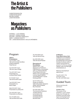# The Artist & the Publishers

CHRISTOPHE BOUTIN CHRISTOPHE DAVIET MICHÈLE DIDIER JONATHAN MONK

# **Magazines** as Publishers

AFTERALL – LUCY STEEDS ARCHIVE – CHIARA FIGONE MOUSSE – STEFANO CERNUSCHI NERO – LORENZO GIGOTTI OEI – JONAS MAGNUSSON / CECILIA GRÖNBERG

#### Program

#### **Talks & Presentations** Tue 7/11 2017, 7 pm Talk with Christoph Schifferli, Gregorio Magnani, Filipa Ramos

Tue 14/11 2017, 6 pm Talk with Jason Dodge

Thu 23/11 2017, 6 pm Presentation by Andreas Reiter Raabe

Fri 1/12 2017, 6 pm Talk with Emeline Jaret

Tue 12/12 2017, 6 pm Presentation by Black Pages

Wed 13/12 2017, 6 pm Presentation by Zeitschrift

Thu 14/12 2017, 6 pm Presentation by Starship

Thu 11/1 2018, 6 pm Talk with Bernhard Cella Thu 18/1 2018, 6 pm Talk with Moritz Küng

Sun 28/1 2018, 5 pm Talk with David Platzker

#### **Discussions & Roundtables**

Wed 8/11 2017, 7 pm *Magazines as Publishers* Filipa Ramos in conversation with Lucy Steeds (Afterall), Chiara Figone (Archive), Stefano Cernuschi (Mousse), Lorenzo Gigotti (NERO), Jonas Magnusson / Cecilia Grönberg (OEI)

Sat 13/1 2018, 2 pm *Design as a Medium* Talks with graphic designers: Åbäke, Manuel Raeder, Boy Vereecken

Sun 28/1 2018, 6 pm *The Artist & the Publishers* Jonathan Monk in conversation with Christophe Boutin, Christophe Daviet, Michéle Didier

#### *In Between*

**Franz West Library Visit** *In Between* is an exhibition that takes place outside of Kunsthalle Wien and explores the idea of a library, both as medium and portrait of a persona. For this tour, please register under vermittlung@ kunsthallewien.at

Maximum 10 people per appointment.

Thu 9/11, 23/11, 7/12, 21/12 2017, 6 pm Thu 18/1, 25/1 2018, 6 pm

#### Guided Tours

All tours are free with admission!

#### **Curator's Tour**

The curator of the exhibition, Luca Lo Pinto, leads a tour through the exhibition and discusses topics and backgrounds of the presented works.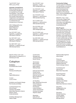Tue 5/12 2017, 6 pm With Luca Lo Pinto

#### **hyperlink\_SundayTours**

Every Sunday at 4 pm, our art educators will take you on a guided tour through the exhibition. They will link you with topics that range from artistic interventions in magazines to art books and various forms of publishing in contemporary art. (Guided tours in German).

With: Wolfgang Brunner, Daniela Fasching, Martin Pfitscher, Michael Simku.

Sun 12/11 2017, 4 pm *hyperlink\_2\_magazines* With Martin Pfitscher

Sun 19/11 2017, 4 pm *hyperlink\_2\_magazines* With Martin Pfitscher

Sun 26/11 2017, 4 pm *hyperlink\_4\_reading off road* With Michael Simku

Sat 2/12, 16/12, 11 am–1 pm *Mein buntes F.A.N.tasie.B.U.C.H* Workshop for kids

#### Colophon

**Exhibition** Kunsthalle Wien GmbH

*Director* Nicolaus Schafhausen

*CFO* Sigrid Mittersteiner

*Curator* Luca Lo Pinto

*Exhibition and Graphic Design* Rio Grande and Dallas

*Curatorial Support by* Almud Krejza Vanessa Joan Müller Maximilian Steinborn (Intern) Eleanor Taylor Aneta Zahradnik

*Exhibition Management* Hektor Peljak

Sun 3/12 2017, 4 pm *hyperlink\_1\_library* With Wolfgang Brunner

Sun 10/12 2017, 4 pm *hyperlink\_2\_magazines* With Martin Pfitscher

Sun 17/12 2017, 4 pm *hyperlink\_3\_interventions* With Daniela Fasching

Sun 7/1 2018, 4 pm *hyperlink\_3\_interventions* With Daniela Fasching

Sun 14/1 2018, 4 pm *hyperlink\_1\_library* With Wolfgang Brunner

Sun 21/1 2018, 4 pm *hyperlink\_4\_reading off road* With Michael Simku

Sun 28/1 2018, 4 pm *hyperlink\_4\_reading off road* With Michael Simku

*Construction Management* Johannes Diboky Danilo Pacher

*Technicians* Beni Ardolic Frank Herberg Baari Jasarov Mathias Kada

*External Technicians* Harald Adrian Hermann Amon Dietmar Hochhauser Bruno Hoffmann Alfred Lenz

*Art Handling* Marc-Alexandre Dumoulin Chris Fortescue Johann Gröbner Scott Hayes Lazard Lyutakov Johann Schoiswohl Andreas Schweger Stephen Zepke

*Marketing* Dalia Ahmed David Avazzadeh

#### **Community College**

An open space for reflection. Join workshops, excursions, and discussions to share personal perspectives on issues raised by the exhibitions of Kunsthalle Wien. www.kunsthallewien.at/ community-college

Wed 6/12, 11 am – 6 pm *Community College Open Seminar: Publishing as …?* Information and registration: community.college@ kunsthallewien.at

#### **Kids Program**

Books can be wild, funny, big and small and actually, they are works of art. Come and join us on a tour through the exhibition, and create with us your own magic book. A book, in which wild animals can hide, or out of which all the letters have disappeared. You can cut, glue, draw and scribble! If you want to join us, please send us an email: vermittlung@ kunsthallewien.at

Katharina Baumgartner Adina Hasler

*Press and Communication* Katharina Murschetz Stefanie Obermeir Karla Arzberger (Intern)

*Fundraising and Sponsoring* Maximilian Geymüller

*Event Production* Gerhard Prügger

*Dramaturgy* Andrea Hubin Vanessa Joan Müller Eleanor Taylor Maximilian Steinborn (Intern)

*Education* Wolfgang Brunner Martin Walkner

*Educators* Daniela Fasching Ursula Leitgeb Martin Pfitscher Michael Simku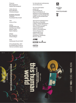*Finances* Mira Gasparevic Natalie Nachbargauer

*Visitor Service* Kevin Manders Christina Zowack

**Exhibition Booklet** *Publisher* Kunsthalle Wien GmbH

*Text* Luca Lo Pinto

*Editing* Wolfgang Brunner Vanessa Joan Müller Eleanor Taylor Martin Walkner

*Design* Boy Vereecken Antoine Begon

©Mariana Baldaia

*Print* Holzhausen Druck GmbH

© Kunsthalle Wien, 2017 Kunsthalle Wien GmbH is Vienna's exhibition space for international contemporary art and discourse.

*For more information please visit* kunsthallewien.at blog.kunsthallewien.at facebook.com/Kunsthalle Wien instagram.com/Kunsthalle Wien twitter.com/Kunsthalle Wien #Toolbox17

*Special Acknowledgments to*  Claire Burrus; Benedikt Ledebur; Kaspar Mühlemann Hartl, Museum in Progress, Vienna; Universität für angewandte Kunst, Vienna; Universität Wien, Vienna; Museum für angewandte Kunst, Vienna; Universität Heidelberg, Heidelberg; Mumok, Vienna.

اأار

Wienerberger

#### WIEN**ELK**<br>KULTUR**NEL**K







this human world

DER STANDARD

NO  $\,<$ 

 **30th**  /

DEC

 **10th** 

2017



# **0th editior** th edition **find us on:**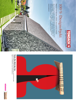

Theater, Film, Musik, Oper, Tanz.<br>Leidenschaftliche Kulturberichterstattung, die alle Stücke spielt,<br>täglich im STANDARD und auf derStandard.at. Leidenschaftliche Kulturberichterstattung, die alle Stücke spielt, STANDARD und auf derStandard.at.



# Theater, Film, Musik, Oper, Tanz.



# Das Jahrhundertdach

N

# 100 % Designobjekt 100% Designobjekt

PERFEKT FÜR DÄCHER, WÄNDE UND AUSSTELLUNGEN. PERFEKT FÜR DÄCHER, WÄNDE UND AUSSTELLUNGEN.

außergewöhnlicher Wohn-, Objekt- und Ausstellungs-Architektur. gedeckten Flächen in den Mittelpunkt – eine perfekte Ergänzung lebiger Baustoff. Heute rücken auch die ästhetischen Qualitäten der Seit eh und je überzeugen TONDACH® Dachziegel als natürlicher und langlebiger Baustoff. Heute rücken auch die ästhetischen Qualitäten der<br>gedeckten Flächen in den Mittelpunkt – eine perfekte Ergänzung<br>außergewöhnlicher Wohn-, Objekt- und Ausstellungs-Architektur.<br>www.t**ondach.at** Seit eh und je überzeugen TONDACH ® Dachziegel als natürlicher und lang-

www.tondach.at